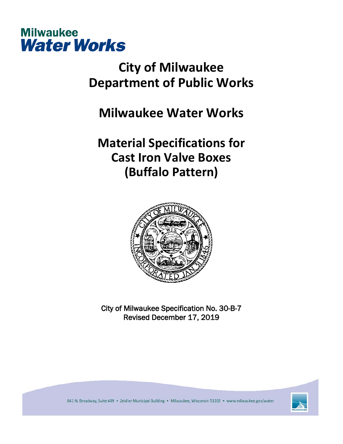

## **City of Milwaukee Department of Public Works**

**Milwaukee Water Works**

## **Material Specifications for Cast Iron Valve Boxes (Buffalo Pattern)**



City of Milwaukee Specification No. 30-B-7 Revised December 17, 2019



841 N. Broadway, Suite 409 · Zeidler Municipal Building · Milwaukee, Wisconsin 53202 · www.milwaukee.gov/water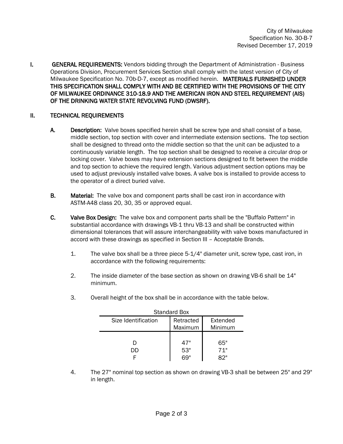I. GENERAL REQUIREMENTS: Vendors bidding through the Department of Administration - Business Operations Division, Procurement Services Section shall comply with the latest version of City of Milwaukee Specification No. 70b-D-7, except as modified herein. MATERIALS FURNISHED UNDER THIS SPECIFICATION SHALL COMPLY WITH AND BE CERTIFIED WITH THE PROVISIONS OF THE CITY OF MILWAUKEE ORDINANCE 310-18.9 AND THE AMERICAN IRON AND STEEL REQUIREMENT (AIS) OF THE DRINKING WATER STATE REVOLVING FUND (DWSRF).

## II. TECHNICAL REQUIREMENTS

- A. Description: Valve boxes specified herein shall be screw type and shall consist of a base, middle section, top section with cover and intermediate extension sections. The top section shall be designed to thread onto the middle section so that the unit can be adjusted to a continuously variable length. The top section shall be designed to receive a circular drop or locking cover. Valve boxes may have extension sections designed to fit between the middle and top section to achieve the required length. Various adjustment section options may be used to adjust previously installed valve boxes. A valve box is installed to provide access to the operator of a direct buried valve.
- **B.** Material: The valve box and component parts shall be cast iron in accordance with ASTM-A48 class 20, 30, 35 or approved equal.
- C. Valve Box Design: The valve box and component parts shall be the "Buffalo Pattern" in substantial accordance with drawings VB-1 thru VB-13 and shall be constructed within dimensional tolerances that will assure interchangeability with valve boxes manufactured in accord with these drawings as specified in Section III – Acceptable Brands.
	- 1. The valve box shall be a three piece 5-1/4" diameter unit, screw type, cast iron, in accordance with the following requirements:
	- 2. The inside diameter of the base section as shown on drawing VB-6 shall be 14" minimum.

| <b>Standard Box</b> |                      |                     |
|---------------------|----------------------|---------------------|
| Size Identification | Retracted<br>Maximum | Extended<br>Minimum |
| נונ                 | 47"<br>53"           | 65"<br>71"          |
|                     |                      |                     |

3. Overall height of the box shall be in accordance with the table below.

4. The 27" nominal top section as shown on drawing VB-3 shall be between 25" and 29" in length.